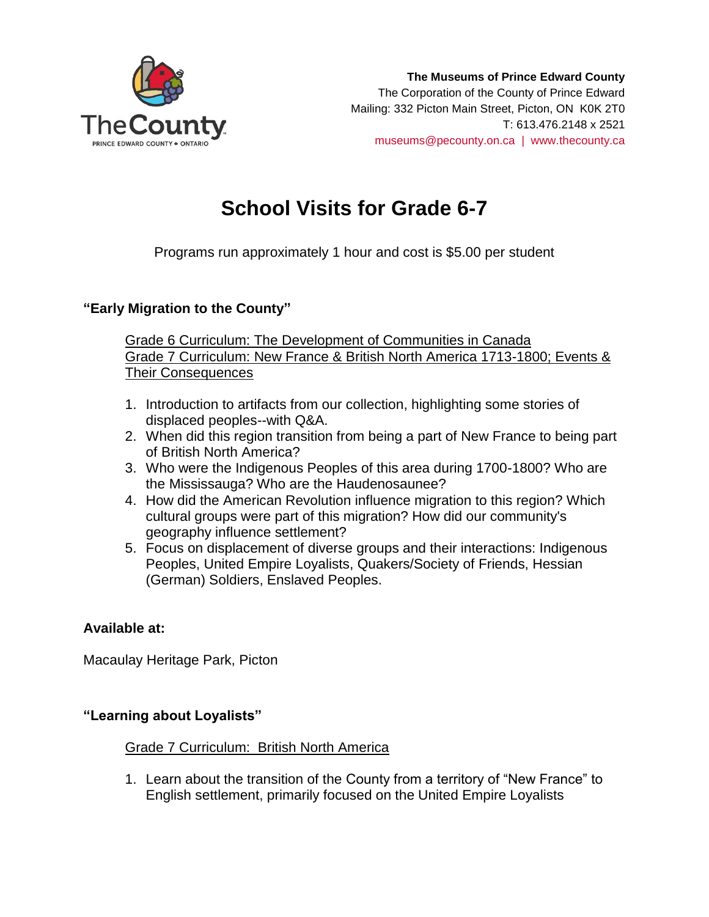

# **School Visits for Grade 6-7**

Programs run approximately 1 hour and cost is \$5.00 per student

## **"Early Migration to the County"**

Grade 6 Curriculum: The Development of Communities in Canada Grade 7 Curriculum: New France & British North America 1713-1800; Events & Their Consequences

- 1. Introduction to artifacts from our collection, highlighting some stories of displaced peoples--with Q&A.
- 2. When did this region transition from being a part of New France to being part of British North America?
- 3. Who were the Indigenous Peoples of this area during 1700-1800? Who are the Mississauga? Who are the Haudenosaunee?
- 4. How did the American Revolution influence migration to this region? Which cultural groups were part of this migration? How did our community's geography influence settlement?
- 5. Focus on displacement of diverse groups and their interactions: Indigenous Peoples, United Empire Loyalists, Quakers/Society of Friends, Hessian (German) Soldiers, Enslaved Peoples.

### **Available at:**

Macaulay Heritage Park, Picton

### **"Learning about Loyalists"**

#### Grade 7 Curriculum: British North America

1. Learn about the transition of the County from a territory of "New France" to English settlement, primarily focused on the United Empire Loyalists